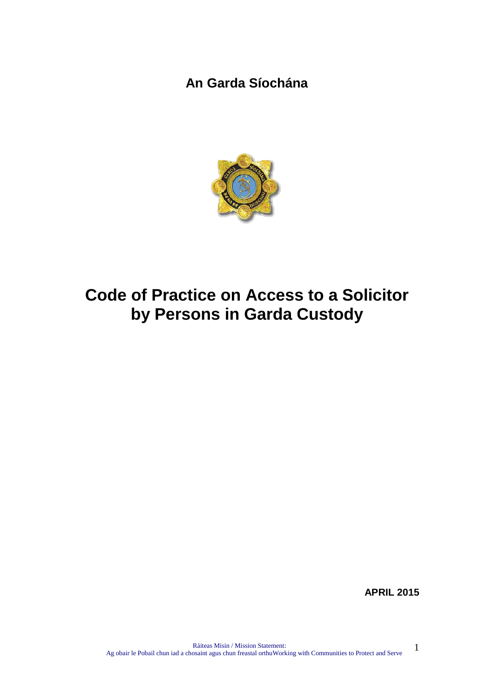**An Garda Síochána**



# <span id="page-0-0"></span>**Code of Practice on Access to a Solicitor by Persons in Garda Custody**

**APRIL 2015**

1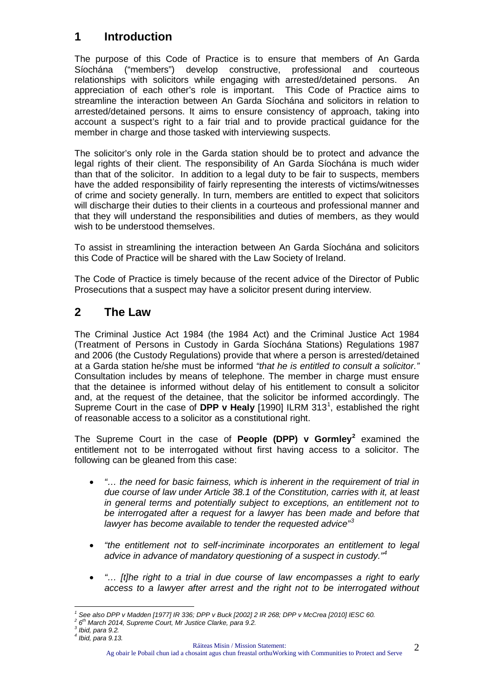# **1 Introduction**

The purpose of this Code of Practice is to ensure that members of An Garda Síochána ("members") develop constructive, professional and courteous relationships with solicitors while engaging with arrested/detained persons. An appreciation of each other's role is important. This Code of Practice aims to streamline the interaction between An Garda Síochána and solicitors in relation to arrested/detained persons. It aims to ensure consistency of approach, taking into account a suspect's right to a fair trial and to provide practical guidance for the member in charge and those tasked with interviewing suspects.

The solicitor's only role in the Garda station should be to protect and advance the legal rights of their client. The responsibility of An Garda Síochána is much wider than that of the solicitor. In addition to a legal duty to be fair to suspects, members have the added responsibility of fairly representing the interests of victims/witnesses of crime and society generally. In turn, members are entitled to expect that solicitors will discharge their duties to their clients in a courteous and professional manner and that they will understand the responsibilities and duties of members, as they would wish to be understood themselves.

To assist in streamlining the interaction between An Garda Síochána and solicitors this Code of Practice will be shared with the Law Society of Ireland.

The Code of Practice is timely because of the recent advice of the Director of Public Prosecutions that a suspect may have a solicitor present during interview.

## **2 The Law**

The Criminal Justice Act 1984 (the 1984 Act) and the Criminal Justice Act 1984 (Treatment of Persons in Custody in Garda Síochána Stations) Regulations 1987 and 2006 (the Custody Regulations) provide that where a person is arrested/detained at a Garda station he/she must be informed *"that he is entitled to consult a solicitor."* Consultation includes by means of telephone. The member in charge must ensure that the detainee is informed without delay of his entitlement to consult a solicitor and, at the request of the detainee, that the solicitor be informed accordingly. The Supreme Court in the case of DPP v Healy [[1](#page-0-0)990] ILRM 313<sup>1</sup>, established the right of reasonable access to a solicitor as a constitutional right.

The Supreme Court in the case of **People (DPP) v Gormley[2](#page-1-0)** examined the entitlement not to be interrogated without first having access to a solicitor. The following can be gleaned from this case:

- *"… the need for basic fairness, which is inherent in the requirement of trial in due course of law under Article 38.1 of the Constitution, carries with it, at least in general terms and potentially subject to exceptions, an entitlement not to be interrogated after a request for a lawyer has been made and before that lawyer has become available to tender the requested advice" [3](#page-1-1)*
- *"the entitlement not to self-incriminate incorporates an entitlement to legal advice in advance of mandatory questioning of a suspect in custody."[4](#page-1-2)*
- *"… [t]he right to a trial in due course of law encompasses a right to early access to a lawyer after arrest and the right not to be interrogated without*

Ag obair le Pobail chun iad a chosaint agus chun freastal orthuWorking with Communities to Protect and Serve

<span id="page-1-3"></span><span id="page-1-0"></span><sup>&</sup>lt;sup>1</sup> See also DPP v Madden [1977] IR 336; DPP v Buck [2002] 2 IR 268; DPP v McCrea [2010] IESC 60.<br><sup>2</sup> 6<sup>th</sup> March 2014, Supreme Court, Mr Justice Clarke, para 9.2.<br><sup>3</sup> Ibid. para 9.2.

<span id="page-1-2"></span><span id="page-1-1"></span>

*<sup>4</sup> Ibid, para 9.13.*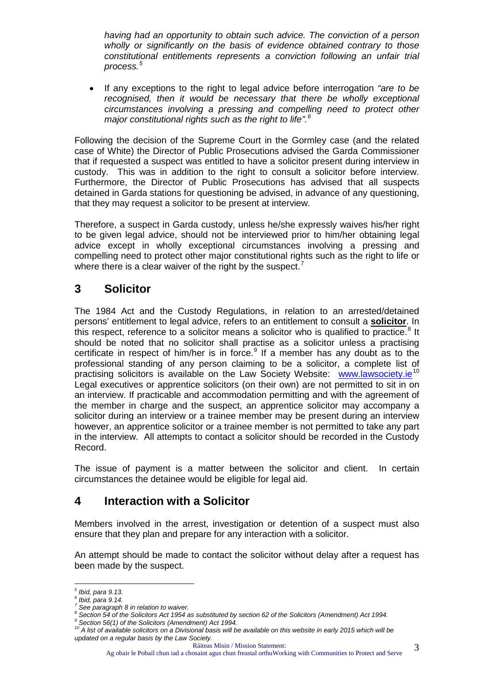*having had an opportunity to obtain such advice. The conviction of a person wholly or significantly on the basis of evidence obtained contrary to those constitutional entitlements represents a conviction following an unfair trial process.[5](#page-1-3)*

• If any exceptions to the right to legal advice before interrogation *"are to be recognised, then it would be necessary that there be wholly exceptional circumstances involving a pressing and compelling need to protect other major constitutional rights such as the right to life".[6](#page-2-0)*

Following the decision of the Supreme Court in the Gormley case (and the related case of White) the Director of Public Prosecutions advised the Garda Commissioner that if requested a suspect was entitled to have a solicitor present during interview in custody. This was in addition to the right to consult a solicitor before interview. Furthermore, the Director of Public Prosecutions has advised that all suspects detained in Garda stations for questioning be advised, in advance of any questioning, that they may request a solicitor to be present at interview.

Therefore, a suspect in Garda custody, unless he/she expressly waives his/her right to be given legal advice, should not be interviewed prior to him/her obtaining legal advice except in wholly exceptional circumstances involving a pressing and compelling need to protect other major constitutional rights such as the right to life or where there is a clear waiver of the right by the suspect.<sup>[7](#page-2-1)</sup>

## **3 Solicitor**

The 1984 Act and the Custody Regulations, in relation to an arrested/detained persons' entitlement to legal advice, refers to an entitlement to consult a **solicitor**. In this respect, reference to a solicitor means a solicitor who is qualified to practice.<sup>[8](#page-2-2)</sup> It should be noted that no solicitor shall practise as a solicitor unless a practising certificate in respect of him/her is in force. $9$  If a member has any doubt as to the professional standing of any person claiming to be a solicitor, a complete list of practising solicitors is available on the Law Society Website: [www.lawsociety.ie](http://www.lawsociety.ie/)<sup>[10](#page-2-4)</sup> Legal executives or apprentice solicitors (on their own) are not permitted to sit in on an interview. If practicable and accommodation permitting and with the agreement of the member in charge and the suspect, an apprentice solicitor may accompany a solicitor during an interview or a trainee member may be present during an interview however, an apprentice solicitor or a trainee member is not permitted to take any part in the interview. All attempts to contact a solicitor should be recorded in the Custody Record.

The issue of payment is a matter between the solicitor and client. In certain circumstances the detainee would be eligible for legal aid.

## **4 Interaction with a Solicitor**

Members involved in the arrest, investigation or detention of a suspect must also ensure that they plan and prepare for any interaction with a solicitor.

An attempt should be made to contact the solicitor without delay after a request has been made by the suspect.

<span id="page-2-3"></span>

Ag obair le Pobail chun iad a chosaint agus chun freastal orthuWorking with Communities to Protect and Serve 3

<span id="page-2-0"></span>*<sup>5</sup> Ibid, para 9.13.*

<span id="page-2-1"></span>*<sup>6</sup> Ibid, para 9.14. <sup>7</sup> See paragraph 8 in relation to waiver.*

<span id="page-2-2"></span>*<sup>8</sup> Section 54 of the Solicitors Act 1954 as substituted by section 62 of the Solicitors (Amendment) Act 1994. <sup>9</sup> Section 56(1) of the Solicitors (Amendment) Act 1994.*

<span id="page-2-5"></span><span id="page-2-4"></span>*<sup>10</sup> A list of available solicitors on a Divisional basis will be available on this website in early 2015 which will be updated on a regular basis by the Law Society.*

Ráiteas Misin / Mission Statement: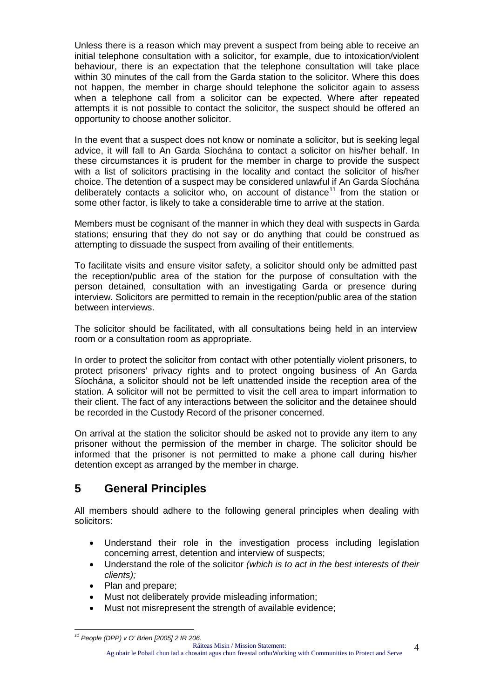Unless there is a reason which may prevent a suspect from being able to receive an initial telephone consultation with a solicitor, for example, due to intoxication/violent behaviour, there is an expectation that the telephone consultation will take place within 30 minutes of the call from the Garda station to the solicitor. Where this does not happen, the member in charge should telephone the solicitor again to assess when a telephone call from a solicitor can be expected. Where after repeated attempts it is not possible to contact the solicitor, the suspect should be offered an opportunity to choose another solicitor.

In the event that a suspect does not know or nominate a solicitor, but is seeking legal advice, it will fall to An Garda Síochána to contact a solicitor on his/her behalf. In these circumstances it is prudent for the member in charge to provide the suspect with a list of solicitors practising in the locality and contact the solicitor of his/her choice. The detention of a suspect may be considered unlawful if An Garda Síochána deliberately contacts a solicitor who, on account of distance<sup>[11](#page-2-5)</sup> from the station or some other factor, is likely to take a considerable time to arrive at the station.

Members must be cognisant of the manner in which they deal with suspects in Garda stations; ensuring that they do not say or do anything that could be construed as attempting to dissuade the suspect from availing of their entitlements.

To facilitate visits and ensure visitor safety, a solicitor should only be admitted past the reception/public area of the station for the purpose of consultation with the person detained, consultation with an investigating Garda or presence during interview. Solicitors are permitted to remain in the reception/public area of the station between interviews.

The solicitor should be facilitated, with all consultations being held in an interview room or a consultation room as appropriate.

In order to protect the solicitor from contact with other potentially violent prisoners, to protect prisoners' privacy rights and to protect ongoing business of An Garda Síochána, a solicitor should not be left unattended inside the reception area of the station. A solicitor will not be permitted to visit the cell area to impart information to their client. The fact of any interactions between the solicitor and the detainee should be recorded in the Custody Record of the prisoner concerned.

On arrival at the station the solicitor should be asked not to provide any item to any prisoner without the permission of the member in charge. The solicitor should be informed that the prisoner is not permitted to make a phone call during his/her detention except as arranged by the member in charge.

# **5 General Principles**

All members should adhere to the following general principles when dealing with solicitors:

- Understand their role in the investigation process including legislation concerning arrest, detention and interview of suspects;
- Understand the role of the solicitor *(which is to act in the best interests of their clients);*
- Plan and prepare;
- Must not deliberately provide misleading information;
- Must not misrepresent the strength of available evidence;

Ráiteas Misin / Mission Statement:

4

<span id="page-3-0"></span>*<sup>11</sup> People (DPP) v O' Brien [2005] 2 IR 206.*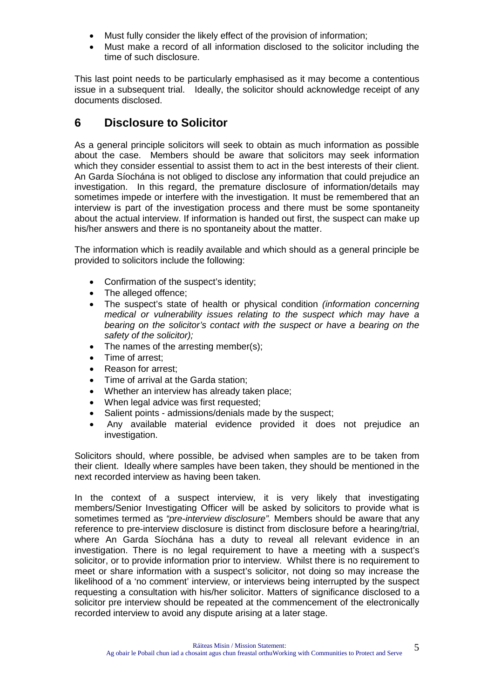- Must fully consider the likely effect of the provision of information;
- Must make a record of all information disclosed to the solicitor including the time of such disclosure.

This last point needs to be particularly emphasised as it may become a contentious issue in a subsequent trial. Ideally, the solicitor should acknowledge receipt of any documents disclosed.

## **6 Disclosure to Solicitor**

As a general principle solicitors will seek to obtain as much information as possible about the case. Members should be aware that solicitors may seek information which they consider essential to assist them to act in the best interests of their client. An Garda Síochána is not obliged to disclose any information that could prejudice an investigation. In this regard, the premature disclosure of information/details may sometimes impede or interfere with the investigation. It must be remembered that an interview is part of the investigation process and there must be some spontaneity about the actual interview. If information is handed out first, the suspect can make up his/her answers and there is no spontaneity about the matter.

The information which is readily available and which should as a general principle be provided to solicitors include the following:

- Confirmation of the suspect's identity;
- The alleged offence;
- The suspect's state of health or physical condition *(information concerning medical or vulnerability issues relating to the suspect which may have a bearing on the solicitor's contact with the suspect or have a bearing on the safety of the solicitor);*
- The names of the arresting member(s);
- Time of arrest;
- Reason for arrest;
- Time of arrival at the Garda station;
- Whether an interview has already taken place;
- When legal advice was first requested;
- Salient points admissions/denials made by the suspect;
- Any available material evidence provided it does not prejudice an investigation.

Solicitors should, where possible, be advised when samples are to be taken from their client. Ideally where samples have been taken, they should be mentioned in the next recorded interview as having been taken.

In the context of a suspect interview, it is very likely that investigating members/Senior Investigating Officer will be asked by solicitors to provide what is sometimes termed as *"pre-interview disclosure".* Members should be aware that any reference to pre-interview disclosure is distinct from disclosure before a hearing/trial, where An Garda Síochána has a duty to reveal all relevant evidence in an investigation. There is no legal requirement to have a meeting with a suspect's solicitor, or to provide information prior to interview. Whilst there is no requirement to meet or share information with a suspect's solicitor, not doing so may increase the likelihood of a 'no comment' interview, or interviews being interrupted by the suspect requesting a consultation with his/her solicitor. Matters of significance disclosed to a solicitor pre interview should be repeated at the commencement of the electronically recorded interview to avoid any dispute arising at a later stage.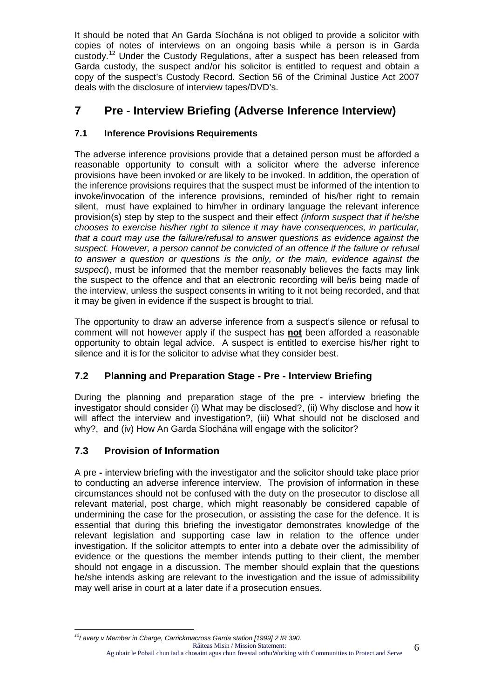It should be noted that An Garda Síochána is not obliged to provide a solicitor with copies of notes of interviews on an ongoing basis while a person is in Garda custody.[12](#page-3-0) Under the Custody Regulations, after a suspect has been released from Garda custody, the suspect and/or his solicitor is entitled to request and obtain a copy of the suspect's Custody Record. Section 56 of the Criminal Justice Act 2007 deals with the disclosure of interview tapes/DVD's.

# **7 Pre - Interview Briefing (Adverse Inference Interview)**

#### **7.1 Inference Provisions Requirements**

The adverse inference provisions provide that a detained person must be afforded a reasonable opportunity to consult with a solicitor where the adverse inference provisions have been invoked or are likely to be invoked. In addition, the operation of the inference provisions requires that the suspect must be informed of the intention to invoke/invocation of the inference provisions, reminded of his/her right to remain silent, must have explained to him/her in ordinary language the relevant inference provision(s) step by step to the suspect and their effect *(inform suspect that if he/she chooses to exercise his/her right to silence it may have consequences, in particular, that a court may use the failure/refusal to answer questions as evidence against the suspect. However, a person cannot be convicted of an offence if the failure or refusal to answer a question or questions is the only, or the main, evidence against the suspect*), must be informed that the member reasonably believes the facts may link the suspect to the offence and that an electronic recording will be/is being made of the interview, unless the suspect consents in writing to it not being recorded, and that it may be given in evidence if the suspect is brought to trial.

The opportunity to draw an adverse inference from a suspect's silence or refusal to comment will not however apply if the suspect has **not** been afforded a reasonable opportunity to obtain legal advice. A suspect is entitled to exercise his/her right to silence and it is for the solicitor to advise what they consider best.

#### **7.2 Planning and Preparation Stage - Pre - Interview Briefing**

During the planning and preparation stage of the pre **-** interview briefing the investigator should consider (i) What may be disclosed?, (ii) Why disclose and how it will affect the interview and investigation?, (iii) What should not be disclosed and why?, and (iv) How An Garda Síochána will engage with the solicitor?

#### **7.3 Provision of Information**

A pre **-** interview briefing with the investigator and the solicitor should take place prior to conducting an adverse inference interview. The provision of information in these circumstances should not be confused with the duty on the prosecutor to disclose all relevant material, post charge, which might reasonably be considered capable of undermining the case for the prosecution, or assisting the case for the defence. It is essential that during this briefing the investigator demonstrates knowledge of the relevant legislation and supporting case law in relation to the offence under investigation. If the solicitor attempts to enter into a debate over the admissibility of evidence or the questions the member intends putting to their client, the member should not engage in a discussion. The member should explain that the questions he/she intends asking are relevant to the investigation and the issue of admissibility may well arise in court at a later date if a prosecution ensues.

<span id="page-5-0"></span>Ráiteas Misin / Mission Statement: Ag obair le Pobail chun iad a chosaint agus chun freastal orthuWorking with Communities to Protect and Serve 6 *12Lavery v Member in Charge, Carrickmacross Garda station [1999] 2 IR 390.*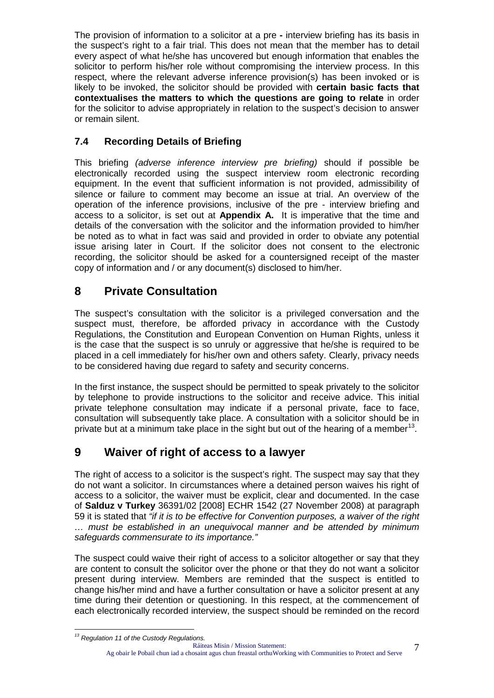The provision of information to a solicitor at a pre **-** interview briefing has its basis in the suspect's right to a fair trial. This does not mean that the member has to detail every aspect of what he/she has uncovered but enough information that enables the solicitor to perform his/her role without compromising the interview process. In this respect, where the relevant adverse inference provision(s) has been invoked or is likely to be invoked, the solicitor should be provided with **certain basic facts that contextualises the matters to which the questions are going to relate** in order for the solicitor to advise appropriately in relation to the suspect's decision to answer or remain silent.

#### **7.4 Recording Details of Briefing**

This briefing *(adverse inference interview pre briefing)* should if possible be electronically recorded using the suspect interview room electronic recording equipment. In the event that sufficient information is not provided, admissibility of silence or failure to comment may become an issue at trial. An overview of the operation of the inference provisions, inclusive of the pre - interview briefing and access to a solicitor, is set out at **Appendix A.** It is imperative that the time and details of the conversation with the solicitor and the information provided to him/her be noted as to what in fact was said and provided in order to obviate any potential issue arising later in Court. If the solicitor does not consent to the electronic recording, the solicitor should be asked for a countersigned receipt of the master copy of information and / or any document(s) disclosed to him/her.

# **8 Private Consultation**

The suspect's consultation with the solicitor is a privileged conversation and the suspect must, therefore, be afforded privacy in accordance with the Custody Regulations, the Constitution and European Convention on Human Rights, unless it is the case that the suspect is so unruly or aggressive that he/she is required to be placed in a cell immediately for his/her own and others safety. Clearly, privacy needs to be considered having due regard to safety and security concerns.

In the first instance, the suspect should be permitted to speak privately to the solicitor by telephone to provide instructions to the solicitor and receive advice. This initial private telephone consultation may indicate if a personal private, face to face, consultation will subsequently take place. A consultation with a solicitor should be in private but at a minimum take place in the sight but out of the hearing of a member<sup>13</sup>.

## **9 Waiver of right of access to a lawyer**

The right of access to a solicitor is the suspect's right. The suspect may say that they do not want a solicitor. In circumstances where a detained person waives his right of access to a solicitor, the waiver must be explicit, clear and documented. In the case of **Salduz v Turkey** 36391/02 [2008] ECHR 1542 (27 November 2008) at paragraph 59 it is stated that *"if it is to be effective for Convention purposes, a waiver of the right … must be established in an unequivocal manner and be attended by minimum safeguards commensurate to its importance."*

The suspect could waive their right of access to a solicitor altogether or say that they are content to consult the solicitor over the phone or that they do not want a solicitor present during interview. Members are reminded that the suspect is entitled to change his/her mind and have a further consultation or have a solicitor present at any time during their detention or questioning. In this respect, at the commencement of each electronically recorded interview, the suspect should be reminded on the record

<span id="page-6-0"></span>Ráiteas Misin / Mission Statement: Ag obair le Pobail chun iad a chosaint agus chun freastal orthuWorking with Communities to Protect and Serve *<sup>13</sup> Regulation 11 of the Custody Regulations.*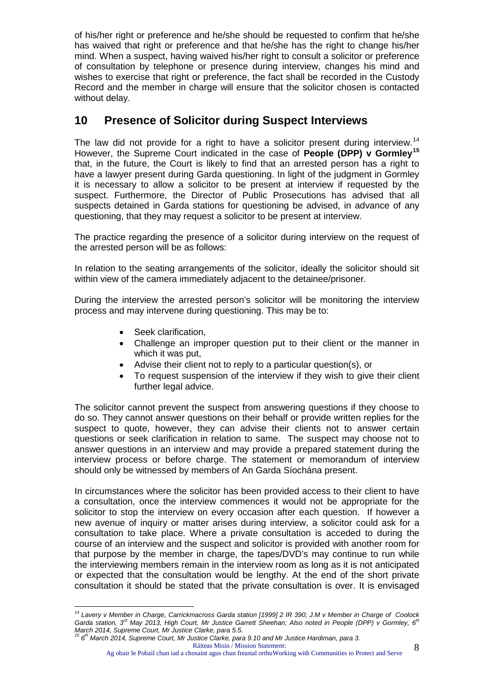of his/her right or preference and he/she should be requested to confirm that he/she has waived that right or preference and that he/she has the right to change his/her mind. When a suspect, having waived his/her right to consult a solicitor or preference of consultation by telephone or presence during interview, changes his mind and wishes to exercise that right or preference, the fact shall be recorded in the Custody Record and the member in charge will ensure that the solicitor chosen is contacted without delay.

# **10 Presence of Solicitor during Suspect Interviews**

The law did not provide for a right to have a solicitor present during interview.<sup>[14](#page-6-0)</sup> However, the Supreme Court indicated in the case of **People (DPP) v Gormley[15](#page-7-0)** that, in the future, the Court is likely to find that an arrested person has a right to have a lawyer present during Garda questioning. In light of the judgment in Gormley it is necessary to allow a solicitor to be present at interview if requested by the suspect. Furthermore, the Director of Public Prosecutions has advised that all suspects detained in Garda stations for questioning be advised, in advance of any questioning, that they may request a solicitor to be present at interview.

The practice regarding the presence of a solicitor during interview on the request of the arrested person will be as follows:

In relation to the seating arrangements of the solicitor, ideally the solicitor should sit within view of the camera immediately adjacent to the detainee/prisoner.

During the interview the arrested person's solicitor will be monitoring the interview process and may intervene during questioning. This may be to:

- Seek clarification.
- Challenge an improper question put to their client or the manner in which it was put,
- Advise their client not to reply to a particular question(s), or
- To request suspension of the interview if they wish to give their client further legal advice.

The solicitor cannot prevent the suspect from answering questions if they choose to do so. They cannot answer questions on their behalf or provide written replies for the suspect to quote, however, they can advise their clients not to answer certain questions or seek clarification in relation to same. The suspect may choose not to answer questions in an interview and may provide a prepared statement during the interview process or before charge. The statement or memorandum of interview should only be witnessed by members of An Garda Síochána present.

In circumstances where the solicitor has been provided access to their client to have a consultation, once the interview commences it would not be appropriate for the solicitor to stop the interview on every occasion after each question. If however a new avenue of inquiry or matter arises during interview, a solicitor could ask for a consultation to take place. Where a private consultation is acceded to during the course of an interview and the suspect and solicitor is provided with another room for that purpose by the member in charge, the tapes/DVD's may continue to run while the interviewing members remain in the interview room as long as it is not anticipated or expected that the consultation would be lengthy. At the end of the short private consultation it should be stated that the private consultation is over. It is envisaged

*<sup>14</sup> Lavery v Member in Charge, Carrickmacross Garda station [1999] 2 IR 390; J.M v Member in Charge of Coolock Garda station, 3rd May 2013, High Court, Mr Justice Garrett Sheehan; Also noted in People (DPP) v Gormley, 6th March 2014, Supreme Court, Mr Justice Clarke, para 5.5.*

<span id="page-7-1"></span><span id="page-7-0"></span>Ráiteas Misin / Mission Statement: *<sup>15</sup> 6th March 2014, Supreme Court, Mr Justice Clarke, para 9.10 and Mr Justice Hardiman, para 3.*

Ag obair le Pobail chun iad a chosaint agus chun freastal orthuWorking with Communities to Protect and Serve 8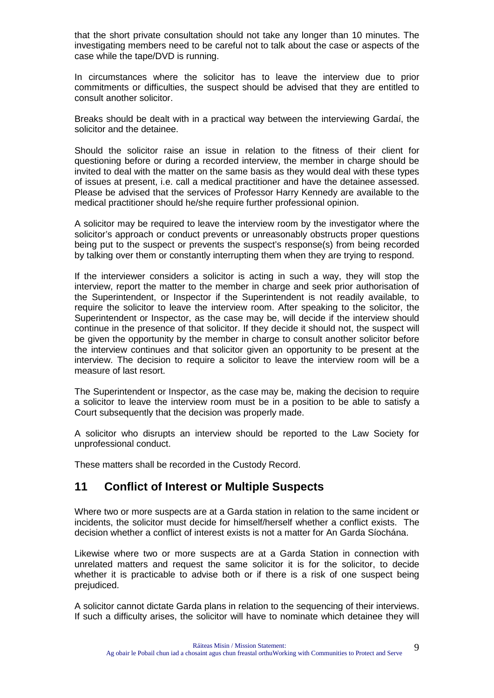that the short private consultation should not take any longer than 10 minutes. The investigating members need to be careful not to talk about the case or aspects of the case while the tape/DVD is running.

In circumstances where the solicitor has to leave the interview due to prior commitments or difficulties, the suspect should be advised that they are entitled to consult another solicitor.

Breaks should be dealt with in a practical way between the interviewing Gardaí, the solicitor and the detainee.

Should the solicitor raise an issue in relation to the fitness of their client for questioning before or during a recorded interview, the member in charge should be invited to deal with the matter on the same basis as they would deal with these types of issues at present, i.e. call a medical practitioner and have the detainee assessed. Please be advised that the services of Professor Harry Kennedy are available to the medical practitioner should he/she require further professional opinion.

A solicitor may be required to leave the interview room by the investigator where the solicitor's approach or conduct prevents or unreasonably obstructs proper questions being put to the suspect or prevents the suspect's response(s) from being recorded by talking over them or constantly interrupting them when they are trying to respond.

If the interviewer considers a solicitor is acting in such a way, they will stop the interview, report the matter to the member in charge and seek prior authorisation of the Superintendent, or Inspector if the Superintendent is not readily available, to require the solicitor to leave the interview room. After speaking to the solicitor, the Superintendent or Inspector, as the case may be, will decide if the interview should continue in the presence of that solicitor. If they decide it should not, the suspect will be given the opportunity by the member in charge to consult another solicitor before the interview continues and that solicitor given an opportunity to be present at the interview. The decision to require a solicitor to leave the interview room will be a measure of last resort.

The Superintendent or Inspector, as the case may be, making the decision to require a solicitor to leave the interview room must be in a position to be able to satisfy a Court subsequently that the decision was properly made.

A solicitor who disrupts an interview should be reported to the Law Society for unprofessional conduct.

These matters shall be recorded in the Custody Record.

#### **11 Conflict of Interest or Multiple Suspects**

Where two or more suspects are at a Garda station in relation to the same incident or incidents, the solicitor must decide for himself/herself whether a conflict exists. The decision whether a conflict of interest exists is not a matter for An Garda Síochána.

Likewise where two or more suspects are at a Garda Station in connection with unrelated matters and request the same solicitor it is for the solicitor, to decide whether it is practicable to advise both or if there is a risk of one suspect being prejudiced.

A solicitor cannot dictate Garda plans in relation to the sequencing of their interviews. If such a difficulty arises, the solicitor will have to nominate which detainee they will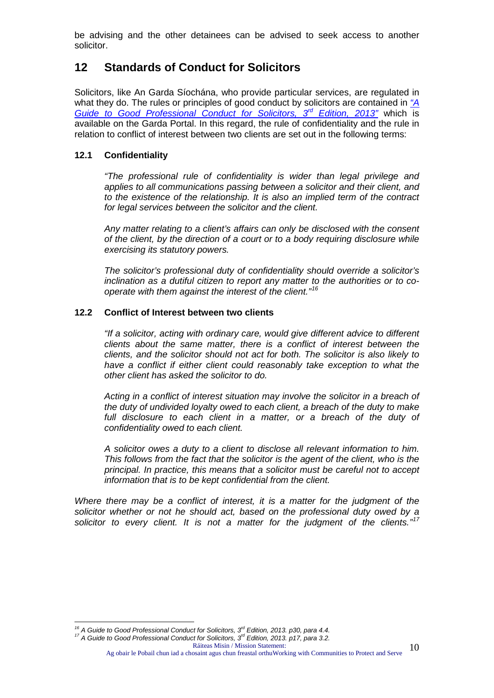be advising and the other detainees can be advised to seek access to another solicitor.

#### **12 Standards of Conduct for Solicitors**

Solicitors, like An Garda Síochána, who provide particular services, are regulated in what they do. The rules or principles of good conduct by solicitors are contained in *["A](http://agsportal.gardais.ie/Documents/Policy%20and%20Procedures/Guideline%20Documents/Crime/Arrests%20-%20Detentions/Access%20to%20a%20Solicitor/A%20Guide%20to%20Good%20Professional%20Conduct%20for%20Solicitors%203rd%20Edition%202013.pdf)  [Guide to Good Professional Conduct for Solicitors,](http://agsportal.gardais.ie/Documents/Policy%20and%20Procedures/Guideline%20Documents/Crime/Arrests%20-%20Detentions/Access%20to%20a%20Solicitor/A%20Guide%20to%20Good%20Professional%20Conduct%20for%20Solicitors%203rd%20Edition%202013.pdf) 3rd Edition, 2013"* which is available on the Garda Portal. In this regard, the rule of confidentiality and the rule in relation to conflict of interest between two clients are set out in the following terms:

#### **12.1 Confidentiality**

*"The professional rule of confidentiality is wider than legal privilege and applies to all communications passing between a solicitor and their client, and to the existence of the relationship. It is also an implied term of the contract for legal services between the solicitor and the client.*

*Any matter relating to a client's affairs can only be disclosed with the consent of the client, by the direction of a court or to a body requiring disclosure while exercising its statutory powers.*

*The solicitor's professional duty of confidentiality should override a solicitor's inclination as a dutiful citizen to report any matter to the authorities or to cooperate with them against the interest of the client." [16](#page-7-1)*

#### **12.2 Conflict of Interest between two clients**

*"If a solicitor, acting with ordinary care, would give different advice to different clients about the same matter, there is a conflict of interest between the clients, and the solicitor should not act for both. The solicitor is also likely to have a conflict if either client could reasonably take exception to what the other client has asked the solicitor to do.*

*Acting in a conflict of interest situation may involve the solicitor in a breach of the duty of undivided loyalty owed to each client, a breach of the duty to make*  full disclosure to each client in a matter, or a breach of the duty of *confidentiality owed to each client.*

*A solicitor owes a duty to a client to disclose all relevant information to him. This follows from the fact that the solicitor is the agent of the client, who is the principal. In practice, this means that a solicitor must be careful not to accept information that is to be kept confidential from the client.*

*Where there may be a conflict of interest, it is a matter for the judgment of the solicitor whether or not he should act, based on the professional duty owed by a solicitor to every client. It is not a matter for the judgment of the clients."[17](#page-9-0)*

Ag obair le Pobail chun iad a chosaint agus chun freastal orthuWorking with Communities to Protect and Serve 10

<span id="page-9-0"></span>*<sup>16</sup> A Guide to Good Professional Conduct for Solicitors, 3rd Edition, 2013. p30, para 4.4. <sup>17</sup> A Guide to Good Professional Conduct for Solicitors, 3rd Edition, 2013. p17, para 3.2.*

Ráiteas Misin / Mission Statement: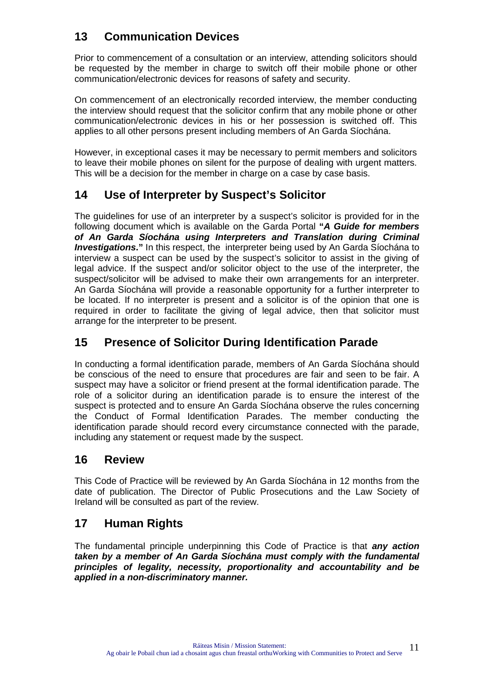# **13 Communication Devices**

Prior to commencement of a consultation or an interview, attending solicitors should be requested by the member in charge to switch off their mobile phone or other communication/electronic devices for reasons of safety and security.

On commencement of an electronically recorded interview, the member conducting the interview should request that the solicitor confirm that any mobile phone or other communication/electronic devices in his or her possession is switched off. This applies to all other persons present including members of An Garda Síochána.

However, in exceptional cases it may be necessary to permit members and solicitors to leave their mobile phones on silent for the purpose of dealing with urgent matters. This will be a decision for the member in charge on a case by case basis.

## **14 Use of Interpreter by Suspect's Solicitor**

The guidelines for use of an interpreter by a suspect's solicitor is provided for in the following document which is available on the Garda Portal **"***A Guide for members of An Garda Síochána using Interpreters and Translation during Criminal Investigations*." In this respect, the interpreter being used by An Garda Síochána to interview a suspect can be used by the suspect's solicitor to assist in the giving of legal advice. If the suspect and/or solicitor object to the use of the interpreter, the suspect/solicitor will be advised to make their own arrangements for an interpreter. An Garda Síochána will provide a reasonable opportunity for a further interpreter to be located. If no interpreter is present and a solicitor is of the opinion that one is required in order to facilitate the giving of legal advice, then that solicitor must arrange for the interpreter to be present.

## **15 Presence of Solicitor During Identification Parade**

In conducting a formal identification parade, members of An Garda Síochána should be conscious of the need to ensure that procedures are fair and seen to be fair. A suspect may have a solicitor or friend present at the formal identification parade. The role of a solicitor during an identification parade is to ensure the interest of the suspect is protected and to ensure An Garda Síochána observe the rules concerning the Conduct of Formal Identification Parades. The member conducting the identification parade should record every circumstance connected with the parade, including any statement or request made by the suspect.

#### **16 Review**

This Code of Practice will be reviewed by An Garda Síochána in 12 months from the date of publication. The Director of Public Prosecutions and the Law Society of Ireland will be consulted as part of the review.

## **17 Human Rights**

The fundamental principle underpinning this Code of Practice is that *any action taken by a member of An Garda Síochána must comply with the fundamental principles of legality, necessity, proportionality and accountability and be applied in a non-discriminatory manner.*